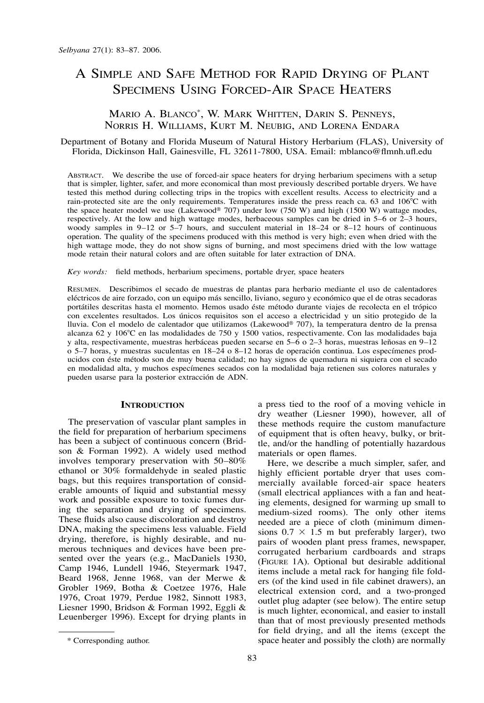# A SIMPLE AND SAFE METHOD FOR RAPID DRYING OF PLANT SPECIMENS USING FORCED-AIR SPACE HEATERS

## MARIO A. BLANCO\*, W. MARK WHITTEN, DARIN S. PENNEYS, NORRIS H. WILLIAMS, KURT M. NEUBIG, AND LORENA ENDARA

## Department of Botany and Florida Museum of Natural History Herbarium (FLAS), University of Florida, Dickinson Hall, Gainesville, FL 32611-7800, USA. Email: mblanco@flmnh.ufl.edu

ABSTRACT. We describe the use of forced-air space heaters for drying herbarium specimens with a setup that is simpler, lighter, safer, and more economical than most previously described portable dryers. We have tested this method during collecting trips in the tropics with excellent results. Access to electricity and a rain-protected site are the only requirements. Temperatures inside the press reach ca. 63 and 106°C with the space heater model we use (Lakewood<sup>®</sup> 707) under low (750 W) and high (1500 W) wattage modes, respectively. At the low and high wattage modes, herbaceous samples can be dried in 5–6 or 2–3 hours, woody samples in 9–12 or 5–7 hours, and succulent material in 18–24 or 8–12 hours of continuous operation. The quality of the specimens produced with this method is very high; even when dried with the high wattage mode, they do not show signs of burning, and most specimens dried with the low wattage mode retain their natural colors and are often suitable for later extraction of DNA.

*Key words:* field methods, herbarium specimens, portable dryer, space heaters

RESUMEN. Describimos el secado de muestras de plantas para herbario mediante el uso de calentadores eléctricos de aire forzado, con un equipo más sencillo, liviano, seguro y económico que el de otras secadoras portátiles descritas hasta el momento. Hemos usado éste método durante viajes de recolecta en el trópico con excelentes resultados. Los únicos requisitos son el acceso a electricidad y un sitio protegido de la lluvia. Con el modelo de calentador que utilizamos (Lakewood<sup>®</sup> 707), la temperatura dentro de la prensa alcanza 62 y 106°C en las modalidades de 750 y 1500 vatios, respectivamente. Con las modalidades baja y alta, respectivamente, muestras herbáceas pueden secarse en 5–6 o 2–3 horas, muestras leñosas en 9–12 o 5–7 horas, y muestras suculentas en 18–24 o 8–12 horas de operación continua. Los especímenes producidos con éste método son de muy buena calidad; no hay signos de quemadura ni siquiera con el secado en modalidad alta, y muchos especímenes secados con la modalidad baja retienen sus colores naturales y pueden usarse para la posterior extracción de ADN.

#### **INTRODUCTION**

The preservation of vascular plant samples in the field for preparation of herbarium specimens has been a subject of continuous concern (Bridson & Forman 1992). A widely used method involves temporary preservation with 50–80% ethanol or 30% formaldehyde in sealed plastic bags, but this requires transportation of considerable amounts of liquid and substantial messy work and possible exposure to toxic fumes during the separation and drying of specimens. These fluids also cause discoloration and destroy DNA, making the specimens less valuable. Field drying, therefore, is highly desirable, and numerous techniques and devices have been presented over the years (e.g., MacDaniels 1930, Camp 1946, Lundell 1946, Steyermark 1947, Beard 1968, Jenne 1968, van der Merwe & Grobler 1969, Botha & Coetzee 1976, Hale 1976, Croat 1979, Perdue 1982, Sinnott 1983, Liesner 1990, Bridson & Forman 1992, Eggli & Leuenberger 1996). Except for drying plants in

a press tied to the roof of a moving vehicle in dry weather (Liesner 1990), however, all of these methods require the custom manufacture of equipment that is often heavy, bulky, or brittle, and/or the handling of potentially hazardous materials or open flames.

Here, we describe a much simpler, safer, and highly efficient portable dryer that uses commercially available forced-air space heaters (small electrical appliances with a fan and heating elements, designed for warming up small to medium-sized rooms). The only other items needed are a piece of cloth (minimum dimensions  $0.7 \times 1.5$  m but preferably larger), two pairs of wooden plant press frames, newspaper, corrugated herbarium cardboards and straps (FIGURE 1A). Optional but desirable additional items include a metal rack for hanging file folders (of the kind used in file cabinet drawers), an electrical extension cord, and a two-pronged outlet plug adapter (see below). The entire setup is much lighter, economical, and easier to install than that of most previously presented methods for field drying, and all the items (except the space heater and possibly the cloth) are normally

<sup>\*</sup> Corresponding author.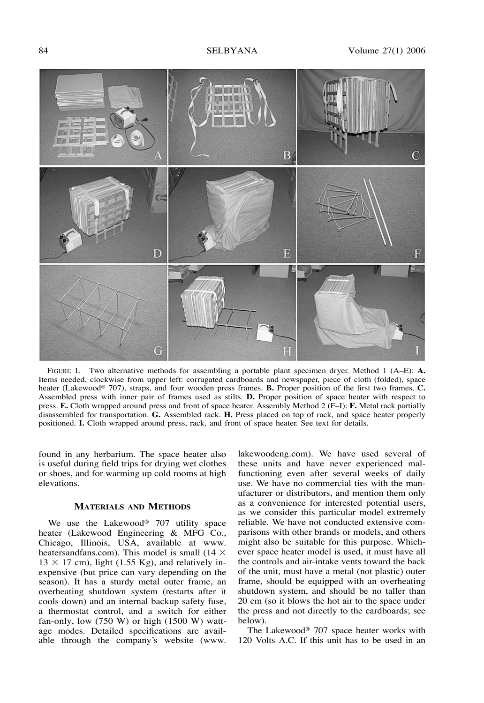

FIGURE 1. Two alternative methods for assembling a portable plant specimen dryer. Method 1 (A–E): **A.** Items needed, clockwise from upper left: corrugated cardboards and newspaper, piece of cloth (folded), space heater (Lakewood<sup>®</sup> 707), straps, and four wooden press frames. **B.** Proper position of the first two frames. **C.** Assembled press with inner pair of frames used as stilts. **D.** Proper position of space heater with respect to press. **E.** Cloth wrapped around press and front of space heater. Assembly Method 2 (F–I): **F.** Metal rack partially disassembled for transportation. **G.** Assembled rack. **H.** Press placed on top of rack, and space heater properly positioned. **I.** Cloth wrapped around press, rack, and front of space heater. See text for details.

found in any herbarium. The space heater also is useful during field trips for drying wet clothes or shoes, and for warming up cold rooms at high elevations.

### **MATERIALS AND METHODS**

We use the Lakewood $\mathcal{D}$  707 utility space heater (Lakewood Engineering & MFG Co., Chicago, Illinois, USA, available at www. heatersandfans.com). This model is small (14  $\times$  $13 \times 17$  cm), light (1.55 Kg), and relatively inexpensive (but price can vary depending on the season). It has a sturdy metal outer frame, an overheating shutdown system (restarts after it cools down) and an internal backup safety fuse, a thermostat control, and a switch for either fan-only, low  $(750 \text{ W})$  or high  $(1500 \text{ W})$  wattage modes. Detailed specifications are available through the company's website (www.

lakewoodeng.com). We have used several of these units and have never experienced malfunctioning even after several weeks of daily use. We have no commercial ties with the manufacturer or distributors, and mention them only as a convenience for interested potential users, as we consider this particular model extremely reliable. We have not conducted extensive comparisons with other brands or models, and others might also be suitable for this purpose. Whichever space heater model is used, it must have all the controls and air-intake vents toward the back of the unit, must have a metal (not plastic) outer frame, should be equipped with an overheating shutdown system, and should be no taller than 20 cm (so it blows the hot air to the space under the press and not directly to the cardboards; see below).

The Lakewood®  $707$  space heater works with 120 Volts A.C. If this unit has to be used in an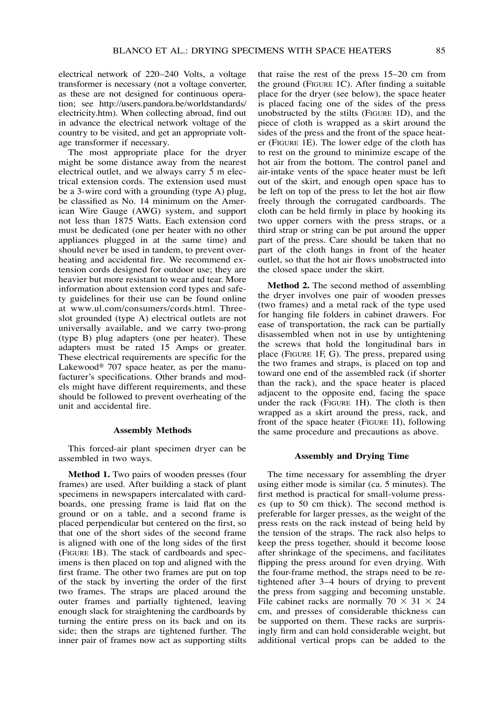electrical network of 220–240 Volts, a voltage transformer is necessary (not a voltage converter, as these are not designed for continuous operation; see http://users.pandora.be/worldstandards/ electricity.htm). When collecting abroad, find out in advance the electrical network voltage of the country to be visited, and get an appropriate voltage transformer if necessary.

The most appropriate place for the dryer might be some distance away from the nearest electrical outlet, and we always carry 5 m electrical extension cords. The extension used must be a 3-wire cord with a grounding (type A) plug, be classified as No. 14 minimum on the American Wire Gauge (AWG) system, and support not less than 1875 Watts. Each extension cord must be dedicated (one per heater with no other appliances plugged in at the same time) and should never be used in tandem, to prevent overheating and accidental fire. We recommend extension cords designed for outdoor use; they are heavier but more resistant to wear and tear. More information about extension cord types and safety guidelines for their use can be found online at www.ul.com/consumers/cords.html. Threeslot grounded (type A) electrical outlets are not universally available, and we carry two-prong (type B) plug adapters (one per heater). These adapters must be rated 15 Amps or greater. These electrical requirements are specific for the Lakewood® 707 space heater, as per the manufacturer's specifications. Other brands and models might have different requirements, and these should be followed to prevent overheating of the unit and accidental fire.

#### **Assembly Methods**

This forced-air plant specimen dryer can be assembled in two ways.

**Method 1.** Two pairs of wooden presses (four frames) are used. After building a stack of plant specimens in newspapers intercalated with cardboards, one pressing frame is laid flat on the ground or on a table, and a second frame is placed perpendicular but centered on the first, so that one of the short sides of the second frame is aligned with one of the long sides of the first (FIGURE 1B). The stack of cardboards and specimens is then placed on top and aligned with the first frame. The other two frames are put on top of the stack by inverting the order of the first two frames. The straps are placed around the outer frames and partially tightened, leaving enough slack for straightening the cardboards by turning the entire press on its back and on its side; then the straps are tightened further. The inner pair of frames now act as supporting stilts

that raise the rest of the press 15–20 cm from the ground (FIGURE 1C). After finding a suitable place for the dryer (see below), the space heater is placed facing one of the sides of the press unobstructed by the stilts (FIGURE 1D), and the piece of cloth is wrapped as a skirt around the sides of the press and the front of the space heater (FIGURE 1E). The lower edge of the cloth has to rest on the ground to minimize escape of the hot air from the bottom. The control panel and air-intake vents of the space heater must be left out of the skirt, and enough open space has to be left on top of the press to let the hot air flow freely through the corrugated cardboards. The cloth can be held firmly in place by hooking its two upper corners with the press straps, or a third strap or string can be put around the upper part of the press. Care should be taken that no part of the cloth hangs in front of the heater outlet, so that the hot air flows unobstructed into the closed space under the skirt.

**Method 2.** The second method of assembling the dryer involves one pair of wooden presses (two frames) and a metal rack of the type used for hanging file folders in cabinet drawers. For ease of transportation, the rack can be partially disassembled when not in use by untightening the screws that hold the longitudinal bars in place (FIGURE 1F, G). The press, prepared using the two frames and straps, is placed on top and toward one end of the assembled rack (if shorter than the rack), and the space heater is placed adjacent to the opposite end, facing the space under the rack (FIGURE 1H). The cloth is then wrapped as a skirt around the press, rack, and front of the space heater (FIGURE 1I), following the same procedure and precautions as above.

#### **Assembly and Drying Time**

The time necessary for assembling the dryer using either mode is similar (ca. 5 minutes). The first method is practical for small-volume presses (up to 50 cm thick). The second method is preferable for larger presses, as the weight of the press rests on the rack instead of being held by the tension of the straps. The rack also helps to keep the press together, should it become loose after shrinkage of the specimens, and facilitates flipping the press around for even drying. With the four-frame method, the straps need to be retightened after 3–4 hours of drying to prevent the press from sagging and becoming unstable. File cabinet racks are normally  $70 \times 31 \times 24$ cm, and presses of considerable thickness can be supported on them. These racks are surprisingly firm and can hold considerable weight, but additional vertical props can be added to the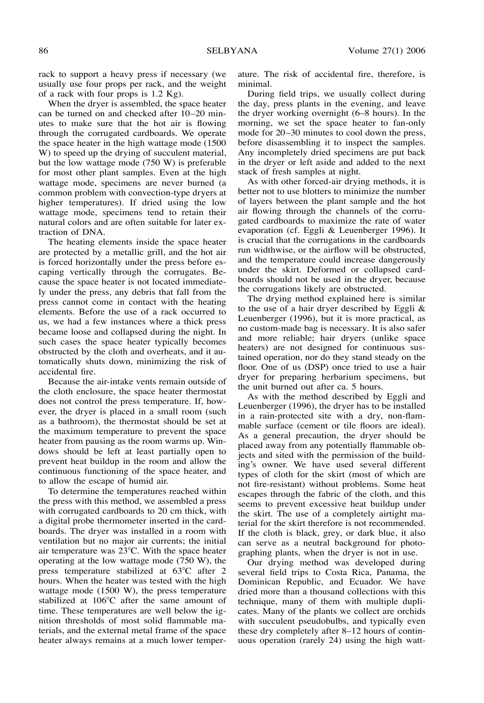rack to support a heavy press if necessary (we usually use four props per rack, and the weight of a rack with four props is 1.2 Kg).

When the dryer is assembled, the space heater can be turned on and checked after 10–20 minutes to make sure that the hot air is flowing through the corrugated cardboards. We operate the space heater in the high wattage mode (1500 W) to speed up the drying of succulent material, but the low wattage mode (750 W) is preferable for most other plant samples. Even at the high wattage mode, specimens are never burned (a common problem with convection-type dryers at higher temperatures). If dried using the low wattage mode, specimens tend to retain their natural colors and are often suitable for later extraction of DNA.

The heating elements inside the space heater are protected by a metallic grill, and the hot air is forced horizontally under the press before escaping vertically through the corrugates. Because the space heater is not located immediately under the press, any debris that fall from the press cannot come in contact with the heating elements. Before the use of a rack occurred to us, we had a few instances where a thick press became loose and collapsed during the night. In such cases the space heater typically becomes obstructed by the cloth and overheats, and it automatically shuts down, minimizing the risk of accidental fire.

Because the air-intake vents remain outside of the cloth enclosure, the space heater thermostat does not control the press temperature. If, however, the dryer is placed in a small room (such as a bathroom), the thermostat should be set at the maximum temperature to prevent the space heater from pausing as the room warms up. Windows should be left at least partially open to prevent heat buildup in the room and allow the continuous functioning of the space heater, and to allow the escape of humid air.

To determine the temperatures reached within the press with this method, we assembled a press with corrugated cardboards to 20 cm thick, with a digital probe thermometer inserted in the cardboards. The dryer was installed in a room with ventilation but no major air currents; the initial air temperature was  $23^{\circ}$ C. With the space heater operating at the low wattage mode (750 W), the press temperature stabilized at  $63^{\circ}$ C after 2 hours. When the heater was tested with the high wattage mode (1500 W), the press temperature stabilized at  $106^{\circ}$ C after the same amount of time. These temperatures are well below the ignition thresholds of most solid flammable materials, and the external metal frame of the space heater always remains at a much lower temperature. The risk of accidental fire, therefore, is minimal.

During field trips, we usually collect during the day, press plants in the evening, and leave the dryer working overnight (6–8 hours). In the morning, we set the space heater to fan-only mode for 20–30 minutes to cool down the press, before disassembling it to inspect the samples. Any incompletely dried specimens are put back in the dryer or left aside and added to the next stack of fresh samples at night.

As with other forced-air drying methods, it is better not to use blotters to minimize the number of layers between the plant sample and the hot air flowing through the channels of the corrugated cardboards to maximize the rate of water evaporation (cf. Eggli & Leuenberger 1996). It is crucial that the corrugations in the cardboards run widthwise, or the airflow will be obstructed, and the temperature could increase dangerously under the skirt. Deformed or collapsed cardboards should not be used in the dryer, because the corrugations likely are obstructed.

The drying method explained here is similar to the use of a hair dryer described by Eggli & Leuenberger (1996), but it is more practical, as no custom-made bag is necessary. It is also safer and more reliable; hair dryers (unlike space heaters) are not designed for continuous sustained operation, nor do they stand steady on the floor. One of us (DSP) once tried to use a hair dryer for preparing herbarium specimens, but the unit burned out after ca. 5 hours.

As with the method described by Eggli and Leuenberger (1996), the dryer has to be installed in a rain-protected site with a dry, non-flammable surface (cement or tile floors are ideal). As a general precaution, the dryer should be placed away from any potentially flammable objects and sited with the permission of the building's owner. We have used several different types of cloth for the skirt (most of which are not fire-resistant) without problems. Some heat escapes through the fabric of the cloth, and this seems to prevent excessive heat buildup under the skirt. The use of a completely airtight material for the skirt therefore is not recommended. If the cloth is black, grey, or dark blue, it also can serve as a neutral background for photographing plants, when the dryer is not in use.

Our drying method was developed during several field trips to Costa Rica, Panama, the Dominican Republic, and Ecuador. We have dried more than a thousand collections with this technique, many of them with multiple duplicates. Many of the plants we collect are orchids with succulent pseudobulbs, and typically even these dry completely after 8–12 hours of continuous operation (rarely 24) using the high watt